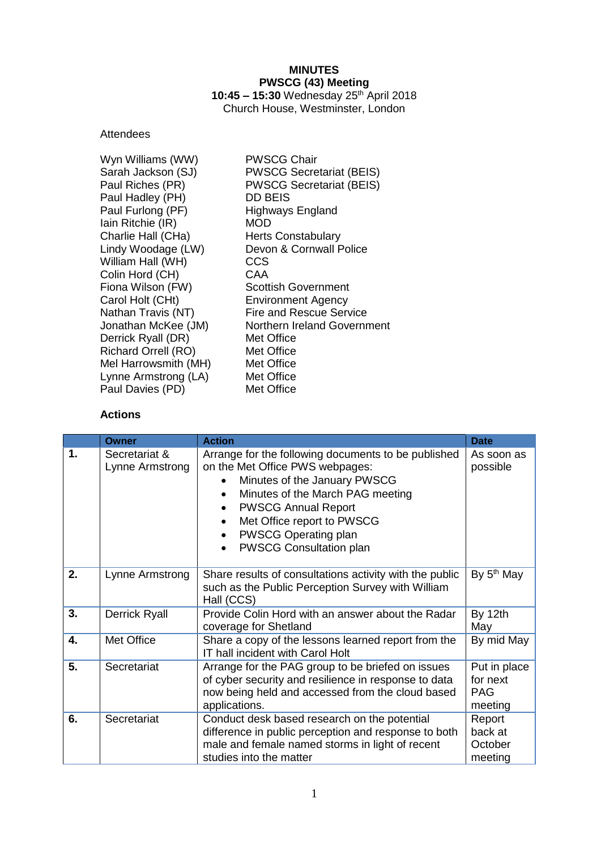# **MINUTES PWSCG (43) Meeting**

**10:45 – 15:30** Wednesday 25 th April 2018 Church House, Westminster, London

# **Attendees**

| Wyn Williams (WW)          | <b>PWSCG Chair</b>              |
|----------------------------|---------------------------------|
| Sarah Jackson (SJ)         | <b>PWSCG Secretariat (BEIS)</b> |
| Paul Riches (PR)           | <b>PWSCG Secretariat (BEIS)</b> |
| Paul Hadley (PH)           | <b>DD BEIS</b>                  |
| Paul Furlong (PF)          | <b>Highways England</b>         |
| lain Ritchie (IR)          | MOD                             |
| Charlie Hall (CHa)         | <b>Herts Constabulary</b>       |
| Lindy Woodage (LW)         | Devon & Cornwall Police         |
| William Hall (WH)          | CCS                             |
| Colin Hord (CH)            | CAA                             |
| Fiona Wilson (FW)          | <b>Scottish Government</b>      |
| Carol Holt (CHt)           | <b>Environment Agency</b>       |
| Nathan Travis (NT)         | <b>Fire and Rescue Service</b>  |
| Jonathan McKee (JM)        | Northern Ireland Government     |
| Derrick Ryall (DR)         | Met Office                      |
| <b>Richard Orrell (RO)</b> | Met Office                      |
| Mel Harrowsmith (MH)       | Met Office                      |
| Lynne Armstrong (LA)       | Met Office                      |
| Paul Davies (PD)           | Met Office                      |
|                            |                                 |

# **Actions**

|               | Owner                            | <b>Action</b>                                                                                                                                                                                                                                                                                                                                     | <b>Date</b>                                       |
|---------------|----------------------------------|---------------------------------------------------------------------------------------------------------------------------------------------------------------------------------------------------------------------------------------------------------------------------------------------------------------------------------------------------|---------------------------------------------------|
| $\mathbf 1$ . | Secretariat &<br>Lynne Armstrong | Arrange for the following documents to be published<br>on the Met Office PWS webpages:<br>Minutes of the January PWSCG<br>$\bullet$<br>Minutes of the March PAG meeting<br>$\bullet$<br><b>PWSCG Annual Report</b><br>$\bullet$<br>Met Office report to PWSCG<br>$\bullet$<br>PWSCG Operating plan<br>$\bullet$<br><b>PWSCG Consultation plan</b> | As soon as<br>possible                            |
| 2.            | Lynne Armstrong                  | Share results of consultations activity with the public<br>such as the Public Perception Survey with William<br>Hall (CCS)                                                                                                                                                                                                                        | By 5 <sup>th</sup> May                            |
| 3.            | <b>Derrick Ryall</b>             | Provide Colin Hord with an answer about the Radar<br>coverage for Shetland                                                                                                                                                                                                                                                                        | By 12th<br>May                                    |
| 4.            | Met Office                       | Share a copy of the lessons learned report from the<br>IT hall incident with Carol Holt                                                                                                                                                                                                                                                           | By mid May                                        |
| 5.            | Secretariat                      | Arrange for the PAG group to be briefed on issues<br>of cyber security and resilience in response to data<br>now being held and accessed from the cloud based<br>applications.                                                                                                                                                                    | Put in place<br>for next<br><b>PAG</b><br>meeting |
| 6.            | Secretariat                      | Conduct desk based research on the potential<br>difference in public perception and response to both<br>male and female named storms in light of recent<br>studies into the matter                                                                                                                                                                | Report<br>back at<br>October<br>meeting           |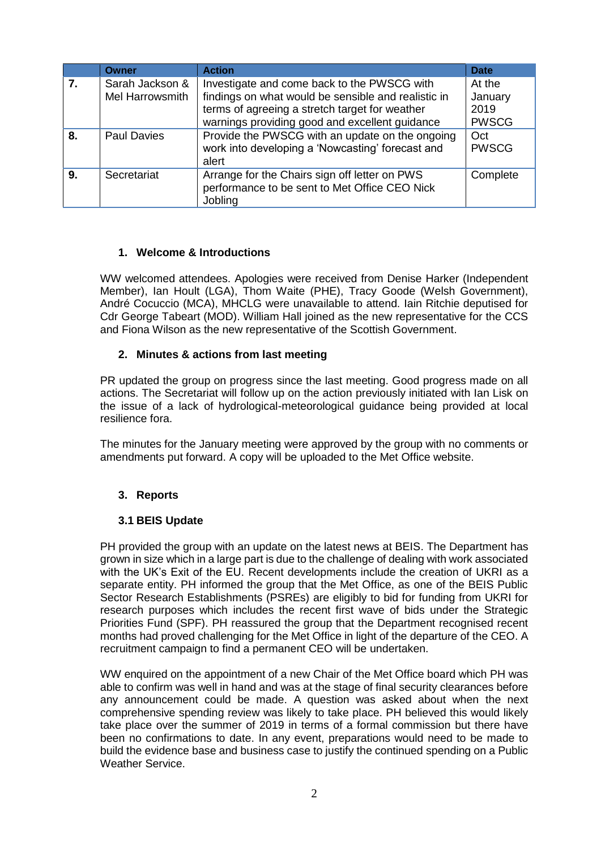|    | <b>Owner</b>                       | <b>Action</b>                                                                                                                                                                                          | <b>Date</b>                               |
|----|------------------------------------|--------------------------------------------------------------------------------------------------------------------------------------------------------------------------------------------------------|-------------------------------------------|
| 7. | Sarah Jackson &<br>Mel Harrowsmith | Investigate and come back to the PWSCG with<br>findings on what would be sensible and realistic in<br>terms of agreeing a stretch target for weather<br>warnings providing good and excellent guidance | At the<br>January<br>2019<br><b>PWSCG</b> |
| 8. | <b>Paul Davies</b>                 | Provide the PWSCG with an update on the ongoing<br>work into developing a 'Nowcasting' forecast and<br>alert                                                                                           | Oct<br><b>PWSCG</b>                       |
| 9. | Secretariat                        | Arrange for the Chairs sign off letter on PWS<br>performance to be sent to Met Office CEO Nick<br>Jobling                                                                                              | Complete                                  |

### **1. Welcome & Introductions**

WW welcomed attendees. Apologies were received from Denise Harker (Independent Member), Ian Hoult (LGA), Thom Waite (PHE), Tracy Goode (Welsh Government), André Cocuccio (MCA), MHCLG were unavailable to attend. Iain Ritchie deputised for Cdr George Tabeart (MOD). William Hall joined as the new representative for the CCS and Fiona Wilson as the new representative of the Scottish Government.

#### **2. Minutes & actions from last meeting**

PR updated the group on progress since the last meeting. Good progress made on all actions. The Secretariat will follow up on the action previously initiated with Ian Lisk on the issue of a lack of hydrological-meteorological guidance being provided at local resilience fora.

The minutes for the January meeting were approved by the group with no comments or amendments put forward. A copy will be uploaded to the Met Office website.

### **3. Reports**

#### **3.1 BEIS Update**

PH provided the group with an update on the latest news at BEIS. The Department has grown in size which in a large part is due to the challenge of dealing with work associated with the UK's Exit of the EU. Recent developments include the creation of UKRI as a separate entity. PH informed the group that the Met Office, as one of the BEIS Public Sector Research Establishments (PSREs) are eligibly to bid for funding from UKRI for research purposes which includes the recent first wave of bids under the Strategic Priorities Fund (SPF). PH reassured the group that the Department recognised recent months had proved challenging for the Met Office in light of the departure of the CEO. A recruitment campaign to find a permanent CEO will be undertaken.

WW enquired on the appointment of a new Chair of the Met Office board which PH was able to confirm was well in hand and was at the stage of final security clearances before any announcement could be made. A question was asked about when the next comprehensive spending review was likely to take place. PH believed this would likely take place over the summer of 2019 in terms of a formal commission but there have been no confirmations to date. In any event, preparations would need to be made to build the evidence base and business case to justify the continued spending on a Public Weather Service.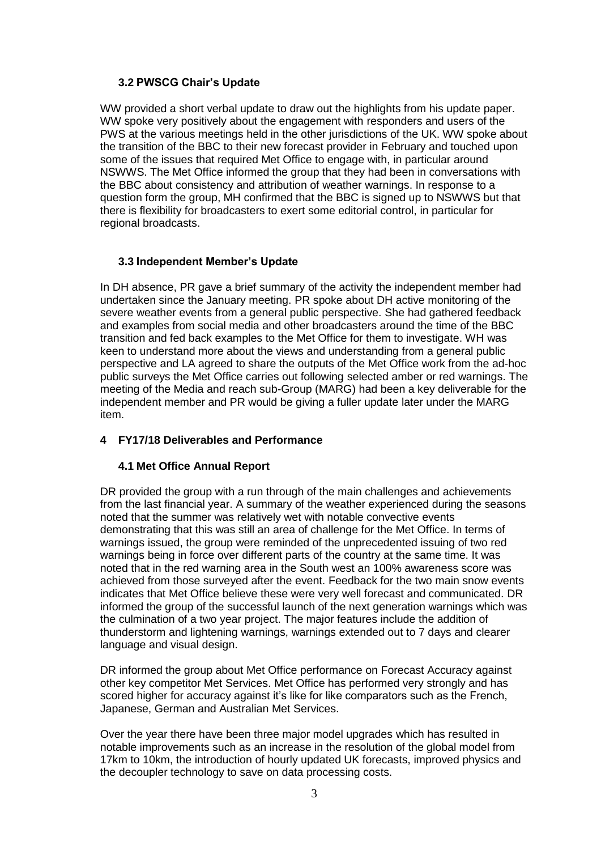### **3.2 PWSCG Chair's Update**

WW provided a short verbal update to draw out the highlights from his update paper. WW spoke very positively about the engagement with responders and users of the PWS at the various meetings held in the other jurisdictions of the UK. WW spoke about the transition of the BBC to their new forecast provider in February and touched upon some of the issues that required Met Office to engage with, in particular around NSWWS. The Met Office informed the group that they had been in conversations with the BBC about consistency and attribution of weather warnings. In response to a question form the group, MH confirmed that the BBC is signed up to NSWWS but that there is flexibility for broadcasters to exert some editorial control, in particular for regional broadcasts.

### **3.3 Independent Member's Update**

In DH absence, PR gave a brief summary of the activity the independent member had undertaken since the January meeting. PR spoke about DH active monitoring of the severe weather events from a general public perspective. She had gathered feedback and examples from social media and other broadcasters around the time of the BBC transition and fed back examples to the Met Office for them to investigate. WH was keen to understand more about the views and understanding from a general public perspective and LA agreed to share the outputs of the Met Office work from the ad-hoc public surveys the Met Office carries out following selected amber or red warnings. The meeting of the Media and reach sub-Group (MARG) had been a key deliverable for the independent member and PR would be giving a fuller update later under the MARG item.

#### **4 FY17/18 Deliverables and Performance**

#### **4.1 Met Office Annual Report**

DR provided the group with a run through of the main challenges and achievements from the last financial year. A summary of the weather experienced during the seasons noted that the summer was relatively wet with notable convective events demonstrating that this was still an area of challenge for the Met Office. In terms of warnings issued, the group were reminded of the unprecedented issuing of two red warnings being in force over different parts of the country at the same time. It was noted that in the red warning area in the South west an 100% awareness score was achieved from those surveyed after the event. Feedback for the two main snow events indicates that Met Office believe these were very well forecast and communicated. DR informed the group of the successful launch of the next generation warnings which was the culmination of a two year project. The major features include the addition of thunderstorm and lightening warnings, warnings extended out to 7 days and clearer language and visual design.

DR informed the group about Met Office performance on Forecast Accuracy against other key competitor Met Services. Met Office has performed very strongly and has scored higher for accuracy against it's like for like comparators such as the French, Japanese, German and Australian Met Services.

Over the year there have been three major model upgrades which has resulted in notable improvements such as an increase in the resolution of the global model from 17km to 10km, the introduction of hourly updated UK forecasts, improved physics and the decoupler technology to save on data processing costs.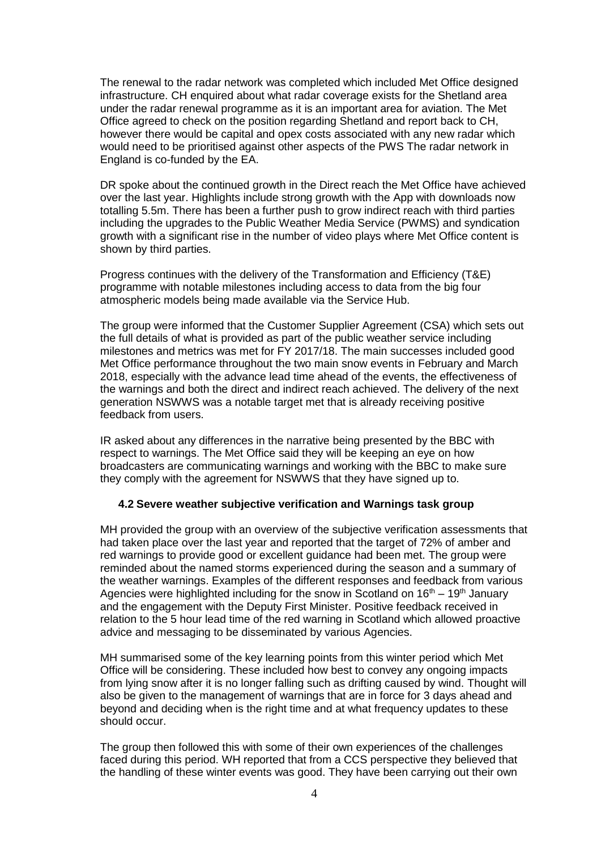The renewal to the radar network was completed which included Met Office designed infrastructure. CH enquired about what radar coverage exists for the Shetland area under the radar renewal programme as it is an important area for aviation. The Met Office agreed to check on the position regarding Shetland and report back to CH, however there would be capital and opex costs associated with any new radar which would need to be prioritised against other aspects of the PWS The radar network in England is co-funded by the EA.

DR spoke about the continued growth in the Direct reach the Met Office have achieved over the last year. Highlights include strong growth with the App with downloads now totalling 5.5m. There has been a further push to grow indirect reach with third parties including the upgrades to the Public Weather Media Service (PWMS) and syndication growth with a significant rise in the number of video plays where Met Office content is shown by third parties.

Progress continues with the delivery of the Transformation and Efficiency (T&E) programme with notable milestones including access to data from the big four atmospheric models being made available via the Service Hub.

The group were informed that the Customer Supplier Agreement (CSA) which sets out the full details of what is provided as part of the public weather service including milestones and metrics was met for FY 2017/18. The main successes included good Met Office performance throughout the two main snow events in February and March 2018, especially with the advance lead time ahead of the events, the effectiveness of the warnings and both the direct and indirect reach achieved. The delivery of the next generation NSWWS was a notable target met that is already receiving positive feedback from users.

IR asked about any differences in the narrative being presented by the BBC with respect to warnings. The Met Office said they will be keeping an eye on how broadcasters are communicating warnings and working with the BBC to make sure they comply with the agreement for NSWWS that they have signed up to.

#### **4.2 Severe weather subjective verification and Warnings task group**

MH provided the group with an overview of the subjective verification assessments that had taken place over the last year and reported that the target of 72% of amber and red warnings to provide good or excellent guidance had been met. The group were reminded about the named storms experienced during the season and a summary of the weather warnings. Examples of the different responses and feedback from various Agencies were highlighted including for the snow in Scotland on  $16<sup>th</sup> - 19<sup>th</sup>$  January and the engagement with the Deputy First Minister. Positive feedback received in relation to the 5 hour lead time of the red warning in Scotland which allowed proactive advice and messaging to be disseminated by various Agencies.

MH summarised some of the key learning points from this winter period which Met Office will be considering. These included how best to convey any ongoing impacts from lying snow after it is no longer falling such as drifting caused by wind. Thought will also be given to the management of warnings that are in force for 3 days ahead and beyond and deciding when is the right time and at what frequency updates to these should occur.

The group then followed this with some of their own experiences of the challenges faced during this period. WH reported that from a CCS perspective they believed that the handling of these winter events was good. They have been carrying out their own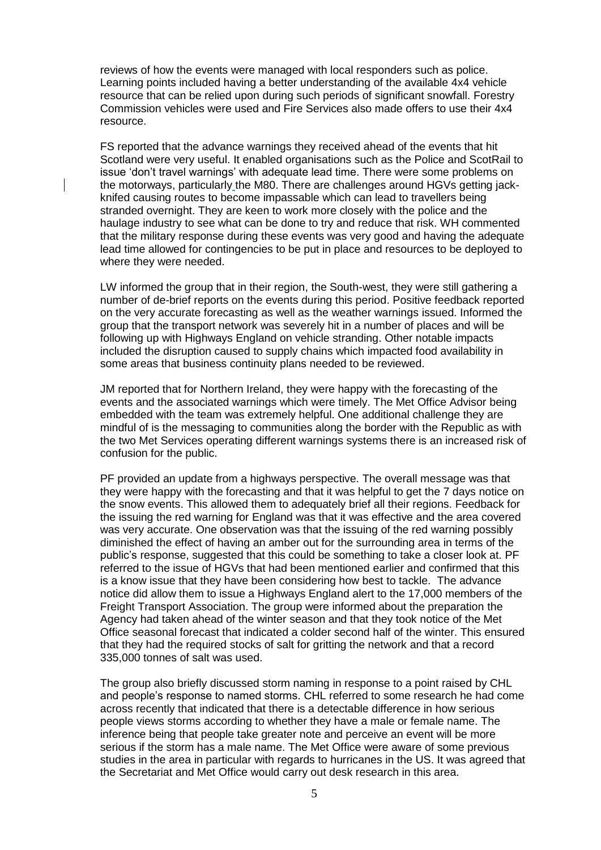reviews of how the events were managed with local responders such as police. Learning points included having a better understanding of the available 4x4 vehicle resource that can be relied upon during such periods of significant snowfall. Forestry Commission vehicles were used and Fire Services also made offers to use their 4x4 resource.

FS reported that the advance warnings they received ahead of the events that hit Scotland were very useful. It enabled organisations such as the Police and ScotRail to issue 'don't travel warnings' with adequate lead time. There were some problems on the motorways, particularly the M80. There are challenges around HGVs getting jackknifed causing routes to become impassable which can lead to travellers being stranded overnight. They are keen to work more closely with the police and the haulage industry to see what can be done to try and reduce that risk. WH commented that the military response during these events was very good and having the adequate lead time allowed for contingencies to be put in place and resources to be deployed to where they were needed.

LW informed the group that in their region, the South-west, they were still gathering a number of de-brief reports on the events during this period. Positive feedback reported on the very accurate forecasting as well as the weather warnings issued. Informed the group that the transport network was severely hit in a number of places and will be following up with Highways England on vehicle stranding. Other notable impacts included the disruption caused to supply chains which impacted food availability in some areas that business continuity plans needed to be reviewed.

JM reported that for Northern Ireland, they were happy with the forecasting of the events and the associated warnings which were timely. The Met Office Advisor being embedded with the team was extremely helpful. One additional challenge they are mindful of is the messaging to communities along the border with the Republic as with the two Met Services operating different warnings systems there is an increased risk of confusion for the public.

PF provided an update from a highways perspective. The overall message was that they were happy with the forecasting and that it was helpful to get the 7 days notice on the snow events. This allowed them to adequately brief all their regions. Feedback for the issuing the red warning for England was that it was effective and the area covered was very accurate. One observation was that the issuing of the red warning possibly diminished the effect of having an amber out for the surrounding area in terms of the public's response, suggested that this could be something to take a closer look at. PF referred to the issue of HGVs that had been mentioned earlier and confirmed that this is a know issue that they have been considering how best to tackle. The advance notice did allow them to issue a Highways England alert to the 17,000 members of the Freight Transport Association. The group were informed about the preparation the Agency had taken ahead of the winter season and that they took notice of the Met Office seasonal forecast that indicated a colder second half of the winter. This ensured that they had the required stocks of salt for gritting the network and that a record 335,000 tonnes of salt was used.

The group also briefly discussed storm naming in response to a point raised by CHL and people's response to named storms. CHL referred to some research he had come across recently that indicated that there is a detectable difference in how serious people views storms according to whether they have a male or female name. The inference being that people take greater note and perceive an event will be more serious if the storm has a male name. The Met Office were aware of some previous studies in the area in particular with regards to hurricanes in the US. It was agreed that the Secretariat and Met Office would carry out desk research in this area.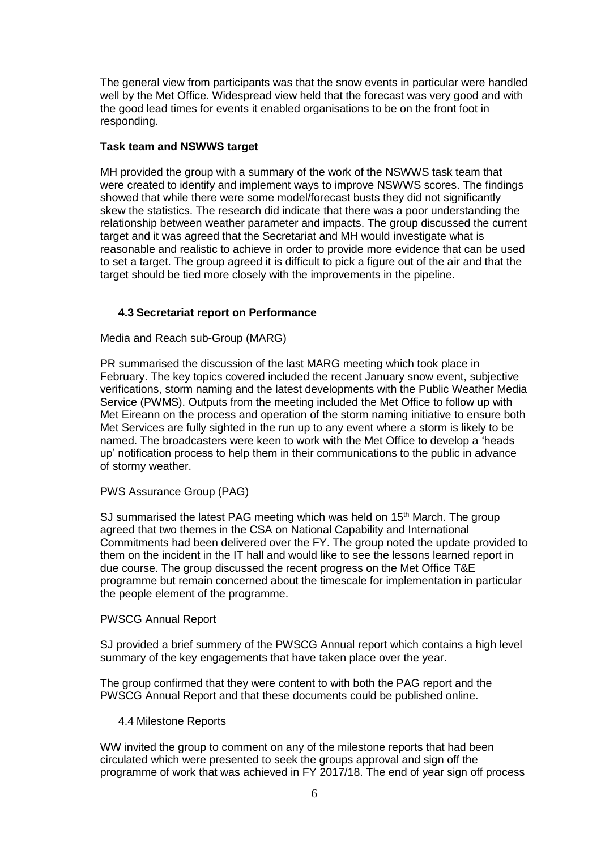The general view from participants was that the snow events in particular were handled well by the Met Office. Widespread view held that the forecast was very good and with the good lead times for events it enabled organisations to be on the front foot in responding.

#### **Task team and NSWWS target**

MH provided the group with a summary of the work of the NSWWS task team that were created to identify and implement ways to improve NSWWS scores. The findings showed that while there were some model/forecast busts they did not significantly skew the statistics. The research did indicate that there was a poor understanding the relationship between weather parameter and impacts. The group discussed the current target and it was agreed that the Secretariat and MH would investigate what is reasonable and realistic to achieve in order to provide more evidence that can be used to set a target. The group agreed it is difficult to pick a figure out of the air and that the target should be tied more closely with the improvements in the pipeline.

### **4.3 Secretariat report on Performance**

Media and Reach sub-Group (MARG)

PR summarised the discussion of the last MARG meeting which took place in February. The key topics covered included the recent January snow event, subjective verifications, storm naming and the latest developments with the Public Weather Media Service (PWMS). Outputs from the meeting included the Met Office to follow up with Met Eireann on the process and operation of the storm naming initiative to ensure both Met Services are fully sighted in the run up to any event where a storm is likely to be named. The broadcasters were keen to work with the Met Office to develop a 'heads up' notification process to help them in their communications to the public in advance of stormy weather.

PWS Assurance Group (PAG)

SJ summarised the latest PAG meeting which was held on  $15<sup>th</sup>$  March. The group agreed that two themes in the CSA on National Capability and International Commitments had been delivered over the FY. The group noted the update provided to them on the incident in the IT hall and would like to see the lessons learned report in due course. The group discussed the recent progress on the Met Office T&E programme but remain concerned about the timescale for implementation in particular the people element of the programme.

#### PWSCG Annual Report

SJ provided a brief summery of the PWSCG Annual report which contains a high level summary of the key engagements that have taken place over the year.

The group confirmed that they were content to with both the PAG report and the PWSCG Annual Report and that these documents could be published online.

#### 4.4 Milestone Reports

WW invited the group to comment on any of the milestone reports that had been circulated which were presented to seek the groups approval and sign off the programme of work that was achieved in FY 2017/18. The end of year sign off process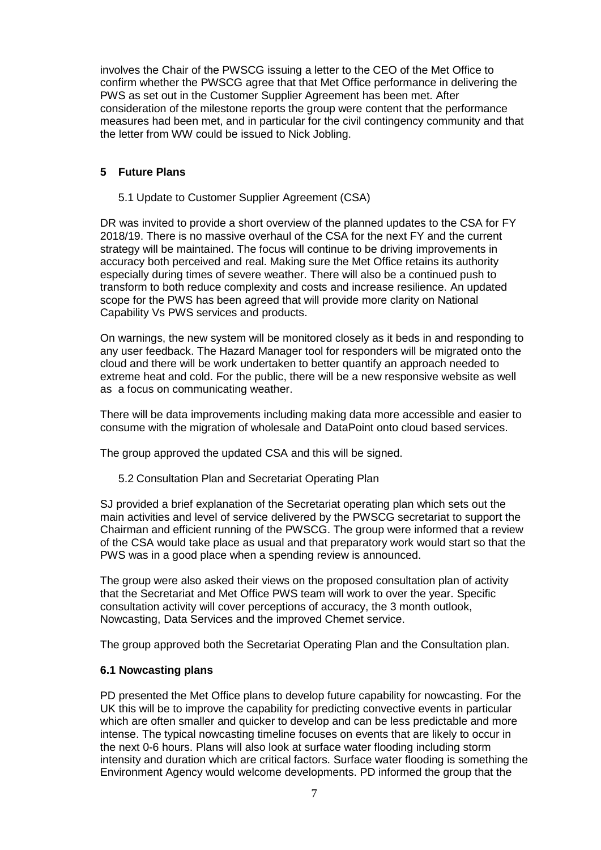involves the Chair of the PWSCG issuing a letter to the CEO of the Met Office to confirm whether the PWSCG agree that that Met Office performance in delivering the PWS as set out in the Customer Supplier Agreement has been met. After consideration of the milestone reports the group were content that the performance measures had been met, and in particular for the civil contingency community and that the letter from WW could be issued to Nick Jobling.

#### **5 Future Plans**

5.1 Update to Customer Supplier Agreement (CSA)

DR was invited to provide a short overview of the planned updates to the CSA for FY 2018/19. There is no massive overhaul of the CSA for the next FY and the current strategy will be maintained. The focus will continue to be driving improvements in accuracy both perceived and real. Making sure the Met Office retains its authority especially during times of severe weather. There will also be a continued push to transform to both reduce complexity and costs and increase resilience. An updated scope for the PWS has been agreed that will provide more clarity on National Capability Vs PWS services and products.

On warnings, the new system will be monitored closely as it beds in and responding to any user feedback. The Hazard Manager tool for responders will be migrated onto the cloud and there will be work undertaken to better quantify an approach needed to extreme heat and cold. For the public, there will be a new responsive website as well as a focus on communicating weather.

There will be data improvements including making data more accessible and easier to consume with the migration of wholesale and DataPoint onto cloud based services.

The group approved the updated CSA and this will be signed.

5.2 Consultation Plan and Secretariat Operating Plan

SJ provided a brief explanation of the Secretariat operating plan which sets out the main activities and level of service delivered by the PWSCG secretariat to support the Chairman and efficient running of the PWSCG. The group were informed that a review of the CSA would take place as usual and that preparatory work would start so that the PWS was in a good place when a spending review is announced.

The group were also asked their views on the proposed consultation plan of activity that the Secretariat and Met Office PWS team will work to over the year. Specific consultation activity will cover perceptions of accuracy, the 3 month outlook, Nowcasting, Data Services and the improved Chemet service.

The group approved both the Secretariat Operating Plan and the Consultation plan.

#### **6.1 Nowcasting plans**

PD presented the Met Office plans to develop future capability for nowcasting. For the UK this will be to improve the capability for predicting convective events in particular which are often smaller and quicker to develop and can be less predictable and more intense. The typical nowcasting timeline focuses on events that are likely to occur in the next 0-6 hours. Plans will also look at surface water flooding including storm intensity and duration which are critical factors. Surface water flooding is something the Environment Agency would welcome developments. PD informed the group that the